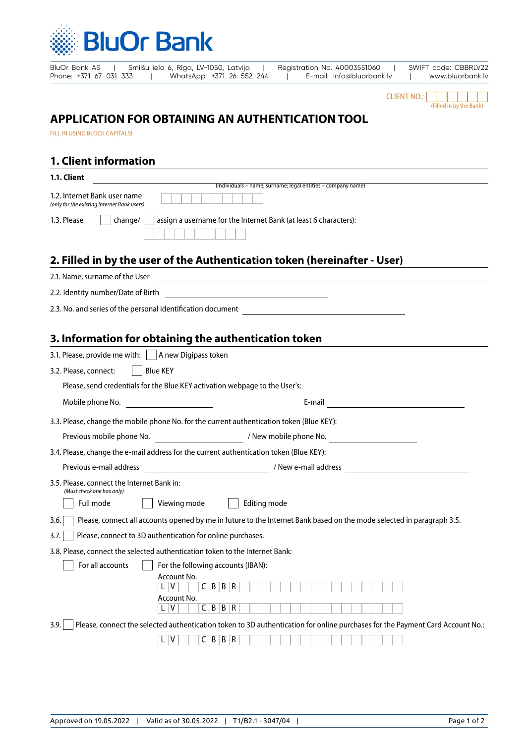

BluOr Bank AS | Smilšu iela 6, Rīga, LV-1050, Latvija | Registration No. 40003551060 | SWIFT code: CBBRLV22 Phone: +371 67 031 333 | WhatsApp: +371 26 552 244 | E-mail: info@bluorbank.lv | www.bluorbank.lv



# **APPLICATION FOR OBTAINING AN AUTHENTICATION TOOL**

FILL IN USING BLOCK CAPITALS!

### **1. Client information**

| <b>1.1. Client</b>                                                                           |
|----------------------------------------------------------------------------------------------|
| (Individuals – name, surname; legal entities – company name)                                 |
| 1.2. Internet Bank user name<br>(only for the existing Internet Bank users)                  |
| assign a username for the Internet Bank (at least 6 characters):<br>1.3. Please<br>  change/ |
|                                                                                              |
| 0. Eilled in hu the wear of the Authorities in token (horoinafter Hear)                      |

# **2. Filled in by the user of the Authentication token (hereinafter - User)**

| 2.1. Name, surname of the User                              |  |
|-------------------------------------------------------------|--|
| 2.2. Identity number/Date of Birth                          |  |
| 2.3. No. and series of the personal identification document |  |

# **3. Information for obtaining the authentication token**

| 3.1. Please, provide me with: $\vert \ \vert$ A new Digipass token                                                                                                                                                                                                                                                                                                                                          |
|-------------------------------------------------------------------------------------------------------------------------------------------------------------------------------------------------------------------------------------------------------------------------------------------------------------------------------------------------------------------------------------------------------------|
| <b>Blue KEY</b><br>3.2. Please, connect:                                                                                                                                                                                                                                                                                                                                                                    |
| Please, send credentials for the Blue KEY activation webpage to the User's:                                                                                                                                                                                                                                                                                                                                 |
| Mobile phone No.<br>E-mail                                                                                                                                                                                                                                                                                                                                                                                  |
| 3.3. Please, change the mobile phone No. for the current authentication token (Blue KEY):                                                                                                                                                                                                                                                                                                                   |
|                                                                                                                                                                                                                                                                                                                                                                                                             |
| 3.4. Please, change the e-mail address for the current authentication token (Blue KEY):                                                                                                                                                                                                                                                                                                                     |
| Previous e-mail address                                                                                                                                                                                                                                                                                                                                                                                     |
| 3.5. Please, connect the Internet Bank in:<br>(Must check one box only)<br>Full mode<br>Viewing mode<br>Editing mode<br>Please, connect all accounts opened by me in future to the Internet Bank based on the mode selected in paragraph 3.5.<br>3.6.<br>Please, connect to 3D authentication for online purchases.<br>3.7.<br>3.8. Please, connect the selected authentication token to the Internet Bank: |
| For all accounts<br>For the following accounts (IBAN):<br>Account No.<br>V<br>C B B R<br>Account No.<br>C B B R<br>V<br>Please, connect the selected authentication token to 3D authentication for online purchases for the Payment Card Account No.:<br>3.9.<br>C B B R<br>۷                                                                                                                               |